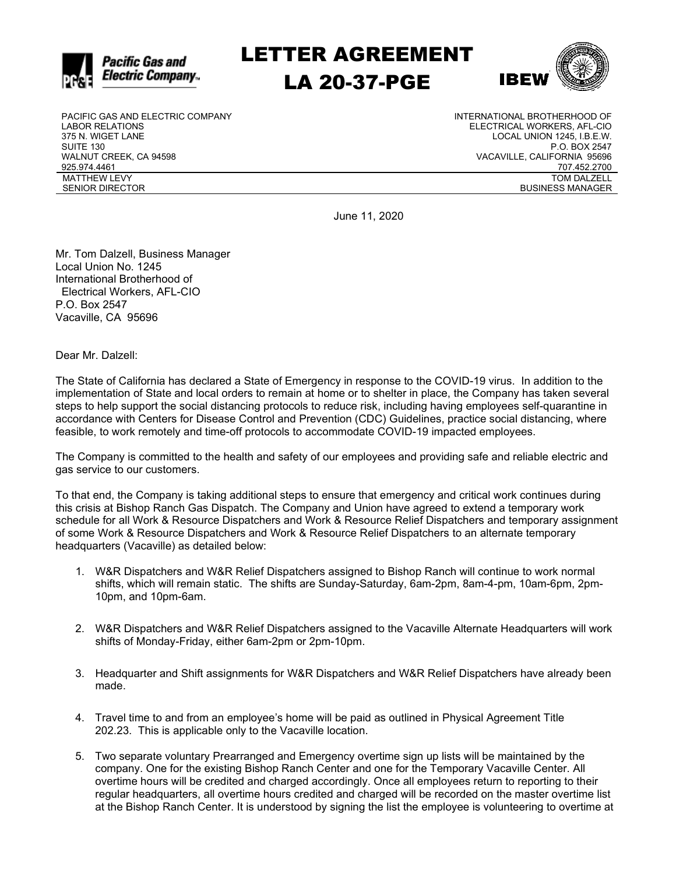

LETTER AGREEMENT LA 20-37-PGE



PACIFIC GAS AND ELECTRIC COMPANY LABOR RELATIONS 375 N. WIGET LANE SUITE 130 WALNUT CREEK, CA 94598 925.974.4461 MATTHEW LEVY SENIOR DIRECTOR

INTERNATIONAL BROTHERHOOD OF ELECTRICAL WORKERS, AFL-CIO LOCAL UNION 1245, I.B.E.W. P.O. BOX 2547 VACAVILLE, CALIFORNIA 95696 707.452.2700 TOM DALZELL BUSINESS MANAGER

June 11, 2020

Mr. Tom Dalzell, Business Manager Local Union No. 1245 International Brotherhood of Electrical Workers, AFL-CIO P.O. Box 2547 Vacaville, CA 95696

Dear Mr. Dalzell:

The State of California has declared a State of Emergency in response to the COVID-19 virus. In addition to the implementation of State and local orders to remain at home or to shelter in place, the Company has taken several steps to help support the social distancing protocols to reduce risk, including having employees self-quarantine in accordance with Centers for Disease Control and Prevention (CDC) Guidelines, practice social distancing, where feasible, to work remotely and time-off protocols to accommodate COVID-19 impacted employees.

The Company is committed to the health and safety of our employees and providing safe and reliable electric and gas service to our customers.

To that end, the Company is taking additional steps to ensure that emergency and critical work continues during this crisis at Bishop Ranch Gas Dispatch. The Company and Union have agreed to extend a temporary work schedule for all Work & Resource Dispatchers and Work & Resource Relief Dispatchers and temporary assignment of some Work & Resource Dispatchers and Work & Resource Relief Dispatchers to an alternate temporary headquarters (Vacaville) as detailed below:

- 1. W&R Dispatchers and W&R Relief Dispatchers assigned to Bishop Ranch will continue to work normal shifts, which will remain static. The shifts are Sunday-Saturday, 6am-2pm, 8am-4-pm, 10am-6pm, 2pm-10pm, and 10pm-6am.
- 2. W&R Dispatchers and W&R Relief Dispatchers assigned to the Vacaville Alternate Headquarters will work shifts of Monday-Friday, either 6am-2pm or 2pm-10pm.
- 3. Headquarter and Shift assignments for W&R Dispatchers and W&R Relief Dispatchers have already been made.
- 4. Travel time to and from an employee's home will be paid as outlined in Physical Agreement Title 202.23. This is applicable only to the Vacaville location.
- 5. Two separate voluntary Prearranged and Emergency overtime sign up lists will be maintained by the company. One for the existing Bishop Ranch Center and one for the Temporary Vacaville Center. All overtime hours will be credited and charged accordingly. Once all employees return to reporting to their regular headquarters, all overtime hours credited and charged will be recorded on the master overtime list at the Bishop Ranch Center. It is understood by signing the list the employee is volunteering to overtime at